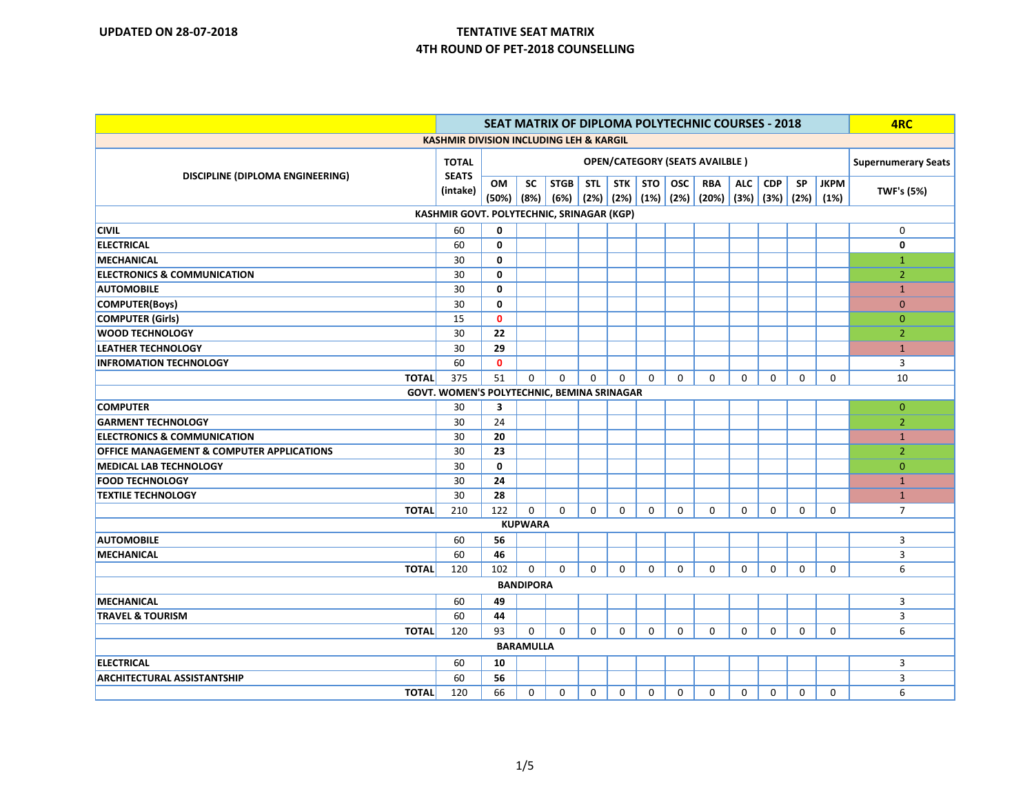| <b>SEAT MATRIX OF DIPLOMA POLYTECHNIC COURSES - 2018</b> |                          |              |                  |             |                            |             |             |             |                                                   | 4RC         |                      |             |             |                   |
|----------------------------------------------------------|--------------------------|--------------|------------------|-------------|----------------------------|-------------|-------------|-------------|---------------------------------------------------|-------------|----------------------|-------------|-------------|-------------------|
| <b>KASHMIR DIVISION INCLUDING LEH &amp; KARGIL</b>       |                          |              |                  |             |                            |             |             |             |                                                   |             |                      |             |             |                   |
|                                                          |                          |              |                  |             | <b>Supernumerary Seats</b> |             |             |             |                                                   |             |                      |             |             |                   |
| DISCIPLINE (DIPLOMA ENGINEERING)                         | <b>SEATS</b><br>(intake) | <b>OM</b>    | <b>SC</b>        | <b>STGB</b> | <b>STL</b>                 | STK         | STO         | osc         | RBA                                               | <b>ALC</b>  | <b>CDP</b>           | <b>SP</b>   | <b>JKPM</b> | <b>TWF's (5%)</b> |
|                                                          |                          | (50%)   (8%) |                  |             |                            |             |             |             | $(6%)$ $(2%)$ $(2%)$ $(1%)$ $(2%)$ $(2%)$ $(20%)$ |             | $(3%)$ $(3%)$ $(2%)$ |             | (1%)        |                   |
| KASHMIR GOVT. POLYTECHNIC, SRINAGAR (KGP)                |                          |              |                  |             |                            |             |             |             |                                                   |             |                      |             |             |                   |
| <b>CIVIL</b>                                             | 60                       | 0            |                  |             |                            |             |             |             |                                                   |             |                      |             |             | 0                 |
| <b>ELECTRICAL</b>                                        | 60                       | 0            |                  |             |                            |             |             |             |                                                   |             |                      |             |             | 0                 |
| <b>MECHANICAL</b>                                        | 30                       | 0            |                  |             |                            |             |             |             |                                                   |             |                      |             |             | $\mathbf{1}$      |
| <b>ELECTRONICS &amp; COMMUNICATION</b>                   | 30                       | 0            |                  |             |                            |             |             |             |                                                   |             |                      |             |             | $\overline{2}$    |
| <b>AUTOMOBILE</b>                                        | 30                       | 0            |                  |             |                            |             |             |             |                                                   |             |                      |             |             | $\mathbf{1}$      |
| <b>COMPUTER(Boys)</b>                                    | 30                       | 0            |                  |             |                            |             |             |             |                                                   |             |                      |             |             | $\mathbf{0}$      |
| <b>COMPUTER (Girls)</b>                                  | 15                       | $\mathbf{0}$ |                  |             |                            |             |             |             |                                                   |             |                      |             |             | $\mathbf{0}$      |
| <b>WOOD TECHNOLOGY</b>                                   | 30                       | 22           |                  |             |                            |             |             |             |                                                   |             |                      |             |             | $\overline{2}$    |
| <b>LEATHER TECHNOLOGY</b>                                | 30                       | 29           |                  |             |                            |             |             |             |                                                   |             |                      |             |             | $\mathbf{1}$      |
| <b>INFROMATION TECHNOLOGY</b>                            | 60                       | $\mathbf 0$  |                  |             |                            |             |             |             |                                                   |             |                      |             |             | 3                 |
| <b>TOTAL</b>                                             | 375                      | 51           | 0                | $\mathbf 0$ | $\mathbf 0$                | $\mathbf 0$ | $\mathbf 0$ | $\mathbf 0$ | $\mathbf 0$                                       | $\mathbf 0$ | 0                    | $\mathbf 0$ | 0           | 10                |
| GOVT. WOMEN'S POLYTECHNIC, BEMINA SRINAGAR               |                          |              |                  |             |                            |             |             |             |                                                   |             |                      |             |             |                   |
| <b>COMPUTER</b>                                          | 30                       | 3            |                  |             |                            |             |             |             |                                                   |             |                      |             |             | $\mathbf 0$       |
| <b>GARMENT TECHNOLOGY</b>                                | 30                       | 24           |                  |             |                            |             |             |             |                                                   |             |                      |             |             | 2                 |
| <b>ELECTRONICS &amp; COMMUNICATION</b>                   | 30                       | 20           |                  |             |                            |             |             |             |                                                   |             |                      |             |             | $\mathbf{1}$      |
| <b>OFFICE MANAGEMENT &amp; COMPUTER APPLICATIONS</b>     | 30                       | 23           |                  |             |                            |             |             |             |                                                   |             |                      |             |             | $\overline{2}$    |
| <b>MEDICAL LAB TECHNOLOGY</b>                            | 30                       | 0            |                  |             |                            |             |             |             |                                                   |             |                      |             |             | $\mathbf 0$       |
| <b>FOOD TECHNOLOGY</b>                                   | 30                       | 24           |                  |             |                            |             |             |             |                                                   |             |                      |             |             | $\mathbf{1}$      |
| <b>TEXTILE TECHNOLOGY</b>                                | 30                       | 28           |                  |             |                            |             |             |             |                                                   |             |                      |             |             | $\mathbf{1}$      |
| <b>TOTAL</b>                                             | 210                      | 122          | $\mathbf 0$      | $\Omega$    | $\mathbf 0$                | 0           | 0           | 0           | $\mathbf 0$                                       | $\mathbf 0$ | $\mathbf 0$          | 0           | 0           | $\overline{7}$    |
|                                                          |                          |              | <b>KUPWARA</b>   |             |                            |             |             |             |                                                   |             |                      |             |             |                   |
| <b>AUTOMOBILE</b>                                        | 60                       | 56           |                  |             |                            |             |             |             |                                                   |             |                      |             |             | 3                 |
| <b>MECHANICAL</b>                                        | 60                       | 46           |                  |             |                            |             |             |             |                                                   |             |                      |             |             | 3                 |
| <b>TOTAL</b>                                             | 120                      | 102          | 0                | $\mathbf 0$ | $\mathbf{0}$               | $\mathbf 0$ | $\mathbf 0$ | $\mathbf 0$ | $\mathbf 0$                                       | 0           | $\mathbf 0$          | $\mathbf 0$ | 0           | 6                 |
|                                                          |                          |              | <b>BANDIPORA</b> |             |                            |             |             |             |                                                   |             |                      |             |             |                   |
| <b>MECHANICAL</b>                                        | 60                       | 49           |                  |             |                            |             |             |             |                                                   |             |                      |             |             | 3                 |
| <b>TRAVEL &amp; TOURISM</b>                              | 60                       | 44           |                  |             |                            |             |             |             |                                                   |             |                      |             |             | 3                 |
| <b>TOTAL</b>                                             | 120                      | 93           | 0                | 0           | $\mathbf 0$                | 0           | 0           | 0           | 0                                                 | 0           | 0                    | 0           | 0           | 6                 |
| <b>BARAMULLA</b>                                         |                          |              |                  |             |                            |             |             |             |                                                   |             |                      |             |             |                   |
| <b>ELECTRICAL</b>                                        | 60                       | 10           |                  |             |                            |             |             |             |                                                   |             |                      |             |             | 3                 |
| <b>ARCHITECTURAL ASSISTANTSHIP</b>                       | 60                       | 56           |                  |             |                            |             |             |             |                                                   |             |                      |             |             | 3                 |
| <b>TOTAL</b>                                             | 120                      | 66           | 0                | $\mathbf 0$ | 0                          | 0           | 0           | 0           | $\mathbf 0$                                       | 0           | 0                    | 0           | 0           | 6                 |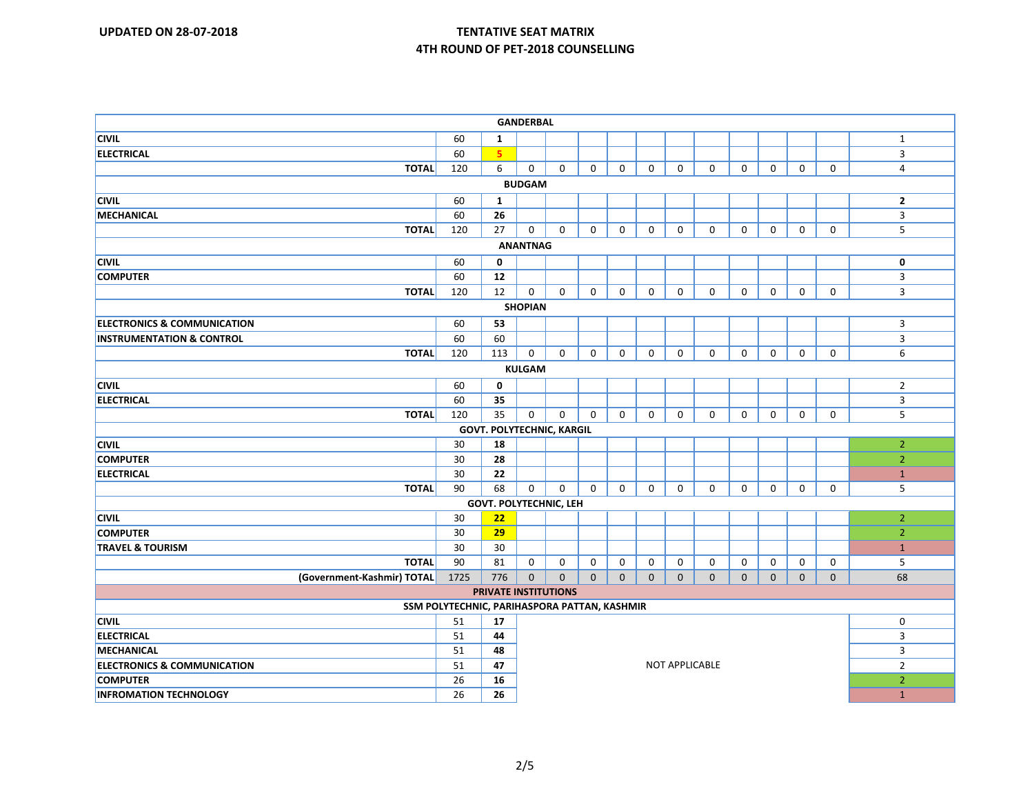| <b>GANDERBAL</b>                                                            |      |                               |                |              |                |              |              |                       |              |              |              |              |              |                |
|-----------------------------------------------------------------------------|------|-------------------------------|----------------|--------------|----------------|--------------|--------------|-----------------------|--------------|--------------|--------------|--------------|--------------|----------------|
| <b>CIVIL</b>                                                                | 60   | 1                             |                |              |                |              |              |                       |              |              |              |              |              | $\mathbf{1}$   |
| <b>ELECTRICAL</b>                                                           | 60   | 5.                            |                |              |                |              |              |                       |              |              |              |              |              | $\mathbf{3}$   |
| <b>TOTAL</b>                                                                | 120  | 6                             | $\mathbf 0$    | $\mathbf 0$  | $\mathbf{0}$   | $\mathbf 0$  | $\mathbf{0}$ | $\mathbf 0$           | $\mathbf{0}$ | $\mathbf 0$  | $\mathbf 0$  | $\mathbf 0$  | $\mathbf 0$  | $\overline{4}$ |
|                                                                             |      |                               | <b>BUDGAM</b>  |              |                |              |              |                       |              |              |              |              |              |                |
| <b>CIVIL</b>                                                                | 60   | 1                             |                |              |                |              |              |                       |              |              |              |              |              | $\overline{2}$ |
| <b>MECHANICAL</b>                                                           | 60   | 26                            |                |              |                |              |              |                       |              |              |              |              |              | $\mathbf{3}$   |
| <b>TOTAL</b>                                                                | 120  | 27                            | $\mathbf 0$    | $\mathbf 0$  | $\Omega$       | $\mathbf 0$  | $\mathbf 0$  | $\mathbf 0$           | $\mathbf{0}$ | $\mathbf 0$  | $\mathbf 0$  | $\mathbf 0$  | $\Omega$     | 5              |
| <b>ANANTNAG</b>                                                             |      |                               |                |              |                |              |              |                       |              |              |              |              |              |                |
| <b>CIVIL</b>                                                                | 60   | $\mathbf 0$                   |                |              |                |              |              |                       |              |              |              |              |              | $\mathbf 0$    |
| <b>COMPUTER</b>                                                             | 60   | 12                            |                |              |                |              |              |                       |              |              |              |              |              | $\mathbf{3}$   |
| <b>TOTAL</b>                                                                | 120  | 12                            | 0              | $\mathbf 0$  | $\mathbf{0}$   | $\mathbf 0$  | $\mathbf 0$  | $\mathbf 0$           | $\mathbf 0$  | $\mathbf 0$  | $\mathbf 0$  | $\mathbf 0$  | $\mathbf 0$  | 3              |
|                                                                             |      |                               | <b>SHOPIAN</b> |              |                |              |              |                       |              |              |              |              |              |                |
| <b>ELECTRONICS &amp; COMMUNICATION</b>                                      | 60   | 53                            |                |              |                |              |              |                       |              |              |              |              |              | $\mathbf{3}$   |
| <b>INSTRUMENTATION &amp; CONTROL</b>                                        | 60   | 60                            |                |              |                |              |              |                       |              |              |              |              |              | 3              |
| <b>TOTAL</b>                                                                | 120  | 113                           | $\mathbf 0$    | $\mathbf 0$  | $\mathbf 0$    | $\mathbf 0$  | $\mathbf 0$  | $\mathbf 0$           | $\mathbf 0$  | $\mathbf 0$  | $\mathbf 0$  | $\mathbf 0$  | $\mathbf 0$  | 6              |
| <b>KULGAM</b>                                                               |      |                               |                |              |                |              |              |                       |              |              |              |              |              |                |
| <b>CIVIL</b>                                                                | 60   | $\mathbf 0$                   |                |              |                |              |              |                       |              |              |              |              |              | $\overline{2}$ |
| ELECTRICAL                                                                  | 60   | 35                            |                |              |                |              |              |                       |              |              |              |              |              | $\overline{3}$ |
| <b>TOTAL</b>                                                                | 120  | 35                            | $\mathbf 0$    | $\mathbf 0$  | $\mathbf{0}$   | $\mathbf 0$  | $\mathbf{0}$ | $\mathbf 0$           | $\mathbf{0}$ | $\mathbf 0$  | 0            | 0            | $\mathbf 0$  | 5              |
| <b>GOVT. POLYTECHNIC, KARGIL</b>                                            |      |                               |                |              |                |              |              |                       |              |              |              |              |              |                |
| <b>CIVIL</b>                                                                | 30   | 18                            |                |              |                |              |              |                       |              |              |              |              |              | $\overline{2}$ |
| <b>COMPUTER</b>                                                             | 30   | 28                            |                |              |                |              |              |                       |              |              |              |              |              | $\overline{2}$ |
| <b>ELECTRICAL</b>                                                           | 30   | 22                            |                |              |                |              |              |                       |              |              |              |              |              | $\mathbf{1}$   |
| <b>TOTAL</b>                                                                | 90   | 68                            | $\mathbf 0$    | $\mathbf 0$  | $\mathbf{0}$   | $\mathbf 0$  | $\mathbf 0$  | $\mathbf 0$           | $\mathbf 0$  | $\mathbf 0$  | $\mathbf 0$  | $\mathbf 0$  | $\mathbf 0$  | 5              |
|                                                                             |      | <b>GOVT. POLYTECHNIC, LEH</b> |                |              |                |              |              |                       |              |              |              |              |              |                |
| <b>CIVIL</b>                                                                | 30   | 22                            |                |              |                |              |              |                       |              |              |              |              |              | $\overline{2}$ |
| <b>COMPUTER</b>                                                             | 30   | 29                            |                |              |                |              |              |                       |              |              |              |              |              | $\overline{2}$ |
| <b>TRAVEL &amp; TOURISM</b>                                                 | 30   | 30                            |                |              |                |              |              |                       |              |              |              |              |              | $\mathbf{1}$   |
| <b>TOTAL</b>                                                                | 90   | 81                            | 0              | 0            | 0              | 0            | 0            | 0                     | 0            | 0            | 0            | 0            | 0            | 5              |
| (Government-Kashmir) TOTAL                                                  | 1725 | 776                           | $\mathbf 0$    | $\mathbf{0}$ | $\overline{0}$ | $\mathbf{0}$ | $\mathbf{0}$ | $\mathbf{0}$          | $\mathbf{0}$ | $\mathbf{0}$ | $\mathbf{0}$ | $\mathbf{0}$ | $\mathbf{0}$ | 68             |
| <b>PRIVATE INSTITUTIONS</b><br>SSM POLYTECHNIC, PARIHASPORA PATTAN, KASHMIR |      |                               |                |              |                |              |              |                       |              |              |              |              |              |                |
|                                                                             |      |                               |                |              |                |              |              |                       |              |              |              |              |              |                |
| <b>CIVIL</b>                                                                | 51   | 17                            |                |              |                |              |              |                       |              |              |              |              |              | $\mathbf 0$    |
| <b>ELECTRICAL</b>                                                           | 51   | 44                            |                |              |                |              |              |                       |              |              |              |              |              | $\overline{3}$ |
| MECHANICAL                                                                  | 51   | 48                            |                |              |                |              |              |                       |              |              |              |              |              | 3              |
| <b>ELECTRONICS &amp; COMMUNICATION</b>                                      | 51   | 47                            |                |              |                |              |              | <b>NOT APPLICABLE</b> |              |              |              |              |              | $\overline{2}$ |
| <b>COMPUTER</b>                                                             | 26   | 16                            |                |              |                |              |              |                       |              |              |              |              |              | $\overline{2}$ |
| <b>INFROMATION TECHNOLOGY</b>                                               | 26   | 26                            |                |              |                |              |              |                       |              |              |              |              |              | $\mathbf{1}$   |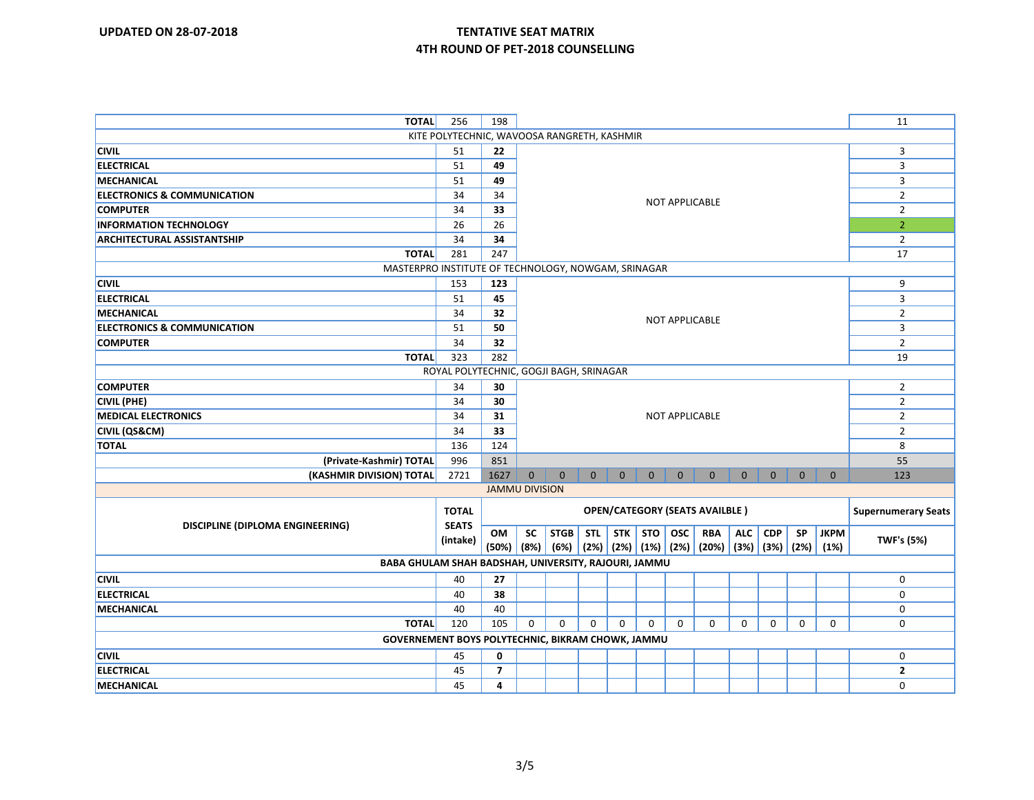| <b>TOTAL</b>                                         | 256          | 198                   |                                       |              |                |                 |              |                       | 11                                                              |                |                |              |                |                            |  |  |  |
|------------------------------------------------------|--------------|-----------------------|---------------------------------------|--------------|----------------|-----------------|--------------|-----------------------|-----------------------------------------------------------------|----------------|----------------|--------------|----------------|----------------------------|--|--|--|
| KITE POLYTECHNIC, WAVOOSA RANGRETH, KASHMIR          |              |                       |                                       |              |                |                 |              |                       |                                                                 |                |                |              |                |                            |  |  |  |
| <b>CIVIL</b>                                         | 51           | 22                    |                                       |              |                |                 |              |                       |                                                                 |                |                |              |                | 3                          |  |  |  |
| <b>ELECTRICAL</b>                                    | 51           | 49                    |                                       |              |                |                 |              |                       |                                                                 |                |                |              | $\overline{3}$ |                            |  |  |  |
| MECHANICAL                                           | 51           | 49                    |                                       |              |                |                 |              |                       |                                                                 |                | 3              |              |                |                            |  |  |  |
| <b>ELECTRONICS &amp; COMMUNICATION</b>               | 34           | 34                    |                                       |              |                |                 |              |                       |                                                                 | $\overline{2}$ |                |              |                |                            |  |  |  |
| <b>COMPUTER</b>                                      | 34           | 33                    |                                       |              |                |                 |              | <b>NOT APPLICABLE</b> |                                                                 |                |                |              |                | $\overline{2}$             |  |  |  |
| <b>INFORMATION TECHNOLOGY</b>                        | 26           | 26                    |                                       |              |                |                 |              |                       |                                                                 |                |                |              |                | 2 <sup>1</sup>             |  |  |  |
| <b>ARCHITECTURAL ASSISTANTSHIP</b>                   | 34           | 34                    |                                       |              |                |                 |              |                       |                                                                 |                | $\overline{2}$ |              |                |                            |  |  |  |
| <b>TOTAL</b>                                         | 281          | 247                   |                                       |              |                |                 |              |                       |                                                                 |                |                |              |                | 17                         |  |  |  |
| MASTERPRO INSTITUTE OF TECHNOLOGY, NOWGAM, SRINAGAR  |              |                       |                                       |              |                |                 |              |                       |                                                                 |                |                |              |                |                            |  |  |  |
| <b>CIVIL</b>                                         | 153          | 123                   |                                       |              |                |                 |              |                       |                                                                 |                |                |              |                | 9                          |  |  |  |
| <b>ELECTRICAL</b>                                    | 51           | 45                    |                                       |              |                |                 |              |                       | 3                                                               |                |                |              |                |                            |  |  |  |
| <b>MECHANICAL</b>                                    | 34           | 32                    |                                       |              |                |                 |              | $\overline{2}$        |                                                                 |                |                |              |                |                            |  |  |  |
| <b>ELECTRONICS &amp; COMMUNICATION</b>               | 51           | 50                    | <b>NOT APPLICABLE</b>                 |              |                |                 |              | 3                     |                                                                 |                |                |              |                |                            |  |  |  |
| <b>COMPUTER</b>                                      | 34           | 32                    |                                       |              |                |                 |              |                       |                                                                 |                |                |              |                | $\overline{2}$             |  |  |  |
| <b>TOTAL</b>                                         | 323          | 282                   |                                       |              |                |                 |              |                       | 19                                                              |                |                |              |                |                            |  |  |  |
| ROYAL POLYTECHNIC, GOGJI BAGH, SRINAGAR              |              |                       |                                       |              |                |                 |              |                       |                                                                 |                |                |              |                |                            |  |  |  |
| <b>COMPUTER</b>                                      | 34           | 30                    |                                       |              |                |                 |              |                       |                                                                 |                | $\overline{2}$ |              |                |                            |  |  |  |
| <b>CIVIL (PHE)</b>                                   | 34           | 30                    |                                       |              |                |                 |              |                       |                                                                 | $\overline{2}$ |                |              |                |                            |  |  |  |
| <b>MEDICAL ELECTRONICS</b>                           | 34           | 31                    | <b>NOT APPLICABLE</b>                 |              |                |                 |              | $\overline{2}$        |                                                                 |                |                |              |                |                            |  |  |  |
| <b>CIVIL (QS&amp;CM)</b>                             | 34           | 33                    |                                       |              |                |                 |              |                       |                                                                 | $\overline{2}$ |                |              |                |                            |  |  |  |
| <b>TOTAL</b>                                         | 136          | 124                   |                                       |              |                |                 |              |                       |                                                                 |                |                |              |                | 8                          |  |  |  |
| (Private-Kashmir) TOTAL                              | 996          | 851                   |                                       |              |                |                 |              |                       |                                                                 |                |                |              |                | 55                         |  |  |  |
| (KASHMIR DIVISION) TOTAL                             | 2721         | 1627                  | $\mathbf{0}$                          | $\mathbf{0}$ | $\overline{0}$ | $\mathbf{0}$    | $\mathbf{0}$ | $\overline{0}$        | $\overline{0}$                                                  | $\overline{0}$ | $\overline{0}$ | $\mathbf{0}$ | $\overline{0}$ | 123                        |  |  |  |
|                                                      |              | <b>JAMMU DIVISION</b> |                                       |              |                |                 |              |                       |                                                                 |                |                |              |                |                            |  |  |  |
|                                                      | <b>TOTAL</b> |                       |                                       |              |                |                 |              |                       |                                                                 |                |                |              |                | <b>Supernumerary Seats</b> |  |  |  |
| DISCIPLINE (DIPLOMA ENGINEERING)                     | <b>SEATS</b> |                       | <b>OPEN/CATEGORY (SEATS AVAILBLE)</b> |              |                |                 |              |                       |                                                                 |                |                |              |                |                            |  |  |  |
|                                                      | (intake)     | OM                    | <b>SC</b>                             | <b>STGB</b>  |                | STL STK STO OSC |              |                       | <b>RBA</b>                                                      | ALC            | <b>CDP</b>     | <b>SP</b>    | <b>JKPM</b>    | <b>TWF's (5%)</b>          |  |  |  |
|                                                      |              | $(50\%)$ $(8\%)$      |                                       |              |                |                 |              |                       | $(6%)$ $(2%)$ $(2%)$ $(1%)$ $(2%)$ $(20%)$ $(3%)$ $(3%)$ $(2%)$ |                |                |              | (1%)           |                            |  |  |  |
| BABA GHULAM SHAH BADSHAH, UNIVERSITY, RAJOURI, JAMMU |              |                       |                                       |              |                |                 |              |                       |                                                                 |                |                |              |                |                            |  |  |  |
| <b>CIVIL</b>                                         | 40           | 27                    |                                       |              |                |                 |              |                       |                                                                 |                |                |              |                | 0                          |  |  |  |
| <b>ELECTRICAL</b>                                    | 40           | 38                    |                                       |              |                |                 |              |                       |                                                                 |                |                |              |                | $\Omega$                   |  |  |  |
| <b>MECHANICAL</b>                                    | 40           | 40                    |                                       |              |                |                 |              |                       |                                                                 |                |                |              |                | 0                          |  |  |  |
| <b>TOTAL</b>                                         | 120          | 105                   | $\mathbf 0$                           | $\mathbf 0$  | $\mathbf{0}$   | $\Omega$        | $\mathbf 0$  | $\mathbf 0$           | $\mathbf{0}$                                                    | $\mathbf 0$    | $\mathbf 0$    | $\mathbf 0$  | $\mathbf 0$    | $\mathbf 0$                |  |  |  |
| GOVERNEMENT BOYS POLYTECHNIC, BIKRAM CHOWK, JAMMU    |              |                       |                                       |              |                |                 |              |                       |                                                                 |                |                |              |                |                            |  |  |  |
| <b>CIVIL</b>                                         | 45           | 0                     |                                       |              |                |                 |              |                       |                                                                 |                |                |              |                | 0                          |  |  |  |
| <b>ELECTRICAL</b>                                    | 45           | $\overline{7}$        |                                       |              |                |                 |              |                       |                                                                 |                |                |              |                | $\mathbf{2}$               |  |  |  |
| MECHANICAL                                           | 45           | 4                     |                                       |              |                |                 |              |                       |                                                                 |                |                |              |                | $\mathbf 0$                |  |  |  |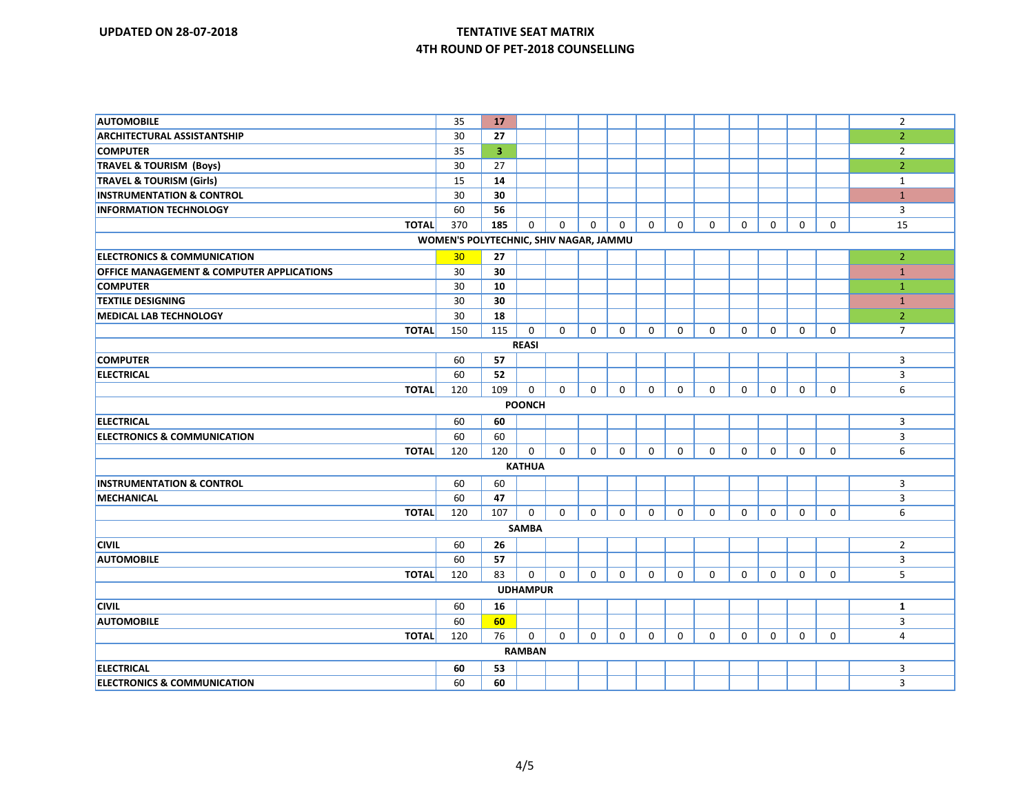| <b>AUTOMOBILE</b>                                    | 35  | 17                      |                 |             |             |              |             |             |             |             |             |             |             | $\overline{2}$ |
|------------------------------------------------------|-----|-------------------------|-----------------|-------------|-------------|--------------|-------------|-------------|-------------|-------------|-------------|-------------|-------------|----------------|
| <b>ARCHITECTURAL ASSISTANTSHIP</b>                   | 30  | 27                      |                 |             |             |              |             |             |             |             |             |             |             | $\overline{2}$ |
| <b>COMPUTER</b>                                      | 35  | $\overline{\mathbf{3}}$ |                 |             |             |              |             |             |             |             |             |             |             | $\overline{2}$ |
| <b>TRAVEL &amp; TOURISM (Boys)</b>                   | 30  | 27                      |                 |             |             |              |             |             |             |             |             |             |             | $\overline{2}$ |
| <b>TRAVEL &amp; TOURISM (Girls)</b>                  | 15  | 14                      |                 |             |             |              |             |             |             |             |             |             |             | $\mathbf{1}$   |
| <b>INSTRUMENTATION &amp; CONTROL</b>                 | 30  | 30                      |                 |             |             |              |             |             |             |             |             |             |             | $\mathbf{1}$   |
| <b>INFORMATION TECHNOLOGY</b>                        | 60  | 56                      |                 |             |             |              |             |             |             |             |             |             |             | 3              |
| <b>TOTAL</b>                                         | 370 | 185                     | $\mathbf 0$     | $\mathbf 0$ | $\Omega$    | $\Omega$     | $\Omega$    | $\mathbf 0$ | $\Omega$    | $\Omega$    | $\mathbf 0$ | $\mathbf 0$ | $\Omega$    | 15             |
| WOMEN'S POLYTECHNIC, SHIV NAGAR, JAMMU               |     |                         |                 |             |             |              |             |             |             |             |             |             |             |                |
| <b>ELECTRONICS &amp; COMMUNICATION</b>               | 30  | 27                      |                 |             |             |              |             |             |             |             |             |             |             | $\overline{2}$ |
| <b>OFFICE MANAGEMENT &amp; COMPUTER APPLICATIONS</b> | 30  | 30                      |                 |             |             |              |             |             |             |             |             |             |             | $\mathbf{1}$   |
| <b>COMPUTER</b>                                      | 30  | 10                      |                 |             |             |              |             |             |             |             |             |             |             | $\mathbf{1}$   |
| <b>TEXTILE DESIGNING</b>                             | 30  | 30                      |                 |             |             |              |             |             |             |             |             |             |             | $\mathbf{1}$   |
| <b>MEDICAL LAB TECHNOLOGY</b>                        | 30  | 18                      |                 |             |             |              |             |             |             |             |             |             |             | 2 <sup>1</sup> |
| <b>TOTAL</b>                                         | 150 | 115                     | $\mathbf 0$     | $\mathbf 0$ | $\mathbf 0$ | $\mathbf 0$  | $\mathbf 0$ | 0           | $\mathbf 0$ | $\mathbf 0$ | $\mathbf 0$ | $\mathbf 0$ | $\mathbf 0$ | $\overline{7}$ |
|                                                      |     |                         | <b>REASI</b>    |             |             |              |             |             |             |             |             |             |             |                |
| <b>COMPUTER</b>                                      | 60  | 57                      |                 |             |             |              |             |             |             |             |             |             |             | 3              |
| <b>ELECTRICAL</b>                                    | 60  | 52                      |                 |             |             |              |             |             |             |             |             |             |             | 3              |
| <b>TOTAL</b>                                         | 120 | 109                     | $\mathbf 0$     | $\Omega$    | $\Omega$    | $\mathbf 0$  | $\mathbf 0$ | $\mathbf 0$ | $\Omega$    | $\Omega$    | $\mathbf 0$ | $\mathbf 0$ | $\mathbf 0$ | 6              |
| <b>POONCH</b>                                        |     |                         |                 |             |             |              |             |             |             |             |             |             |             |                |
| <b>ELECTRICAL</b>                                    | 60  | 60                      |                 |             |             |              |             |             |             |             |             |             |             | 3              |
| <b>ELECTRONICS &amp; COMMUNICATION</b>               | 60  | 60                      |                 |             |             |              |             |             |             |             |             |             |             | $\overline{3}$ |
| <b>TOTAL</b>                                         | 120 | 120                     | 0               | $\mathbf 0$ | $\mathbf 0$ | $\mathbf{0}$ | $\mathbf 0$ | $\mathbf 0$ | $\mathbf 0$ | $\mathbf 0$ | $\mathbf 0$ | $\mathbf 0$ | $\mathbf 0$ | 6              |
|                                                      |     |                         | <b>KATHUA</b>   |             |             |              |             |             |             |             |             |             |             |                |
| <b>INSTRUMENTATION &amp; CONTROL</b>                 | 60  | 60                      |                 |             |             |              |             |             |             |             |             |             |             | 3              |
| MECHANICAL                                           | 60  | 47                      |                 |             |             |              |             |             |             |             |             |             |             | $\overline{3}$ |
| <b>TOTAL</b>                                         | 120 | 107                     | $\mathbf 0$     | $\mathbf 0$ | $\mathbf 0$ | $\mathbf{0}$ | $\mathbf 0$ | $\mathbf 0$ | $\mathbf 0$ | $\mathbf 0$ | $\mathbf 0$ | $\mathbf 0$ | $\mathbf 0$ | 6              |
|                                                      |     |                         | <b>SAMBA</b>    |             |             |              |             |             |             |             |             |             |             |                |
| <b>CIVIL</b>                                         | 60  | 26                      |                 |             |             |              |             |             |             |             |             |             |             | $\overline{2}$ |
| <b>AUTOMOBILE</b>                                    | 60  | 57                      |                 |             |             |              |             |             |             |             |             |             |             | 3              |
| <b>TOTAL</b>                                         | 120 | 83                      | $\mathbf 0$     | $\mathbf 0$ | $\Omega$    | $\mathbf 0$  | $\mathbf 0$ | $\mathbf 0$ | $\mathbf 0$ | $\Omega$    | $\mathbf 0$ | $\mathbf 0$ | $\Omega$    | 5              |
|                                                      |     |                         | <b>UDHAMPUR</b> |             |             |              |             |             |             |             |             |             |             |                |
| <b>CIVIL</b>                                         | 60  | 16                      |                 |             |             |              |             |             |             |             |             |             |             | $\mathbf{1}$   |
| <b>AUTOMOBILE</b>                                    | 60  | 60                      |                 |             |             |              |             |             |             |             |             |             |             | $\overline{3}$ |
| <b>TOTAL</b>                                         | 120 | 76                      | $\mathbf 0$     | $\mathbf 0$ | $\mathbf 0$ | $\mathbf 0$  | $\mathbf 0$ | $\mathbf 0$ | $\mathbf 0$ | $\mathbf 0$ | 0           | $\mathbf 0$ | $\mathbf 0$ | 4              |
|                                                      |     |                         | <b>RAMBAN</b>   |             |             |              |             |             |             |             |             |             |             |                |
| <b>ELECTRICAL</b>                                    | 60  | 53                      |                 |             |             |              |             |             |             |             |             |             |             | 3              |
| <b>ELECTRONICS &amp; COMMUNICATION</b>               | 60  | 60                      |                 |             |             |              |             |             |             |             |             |             |             | 3              |
|                                                      |     |                         |                 |             |             |              |             |             |             |             |             |             |             |                |